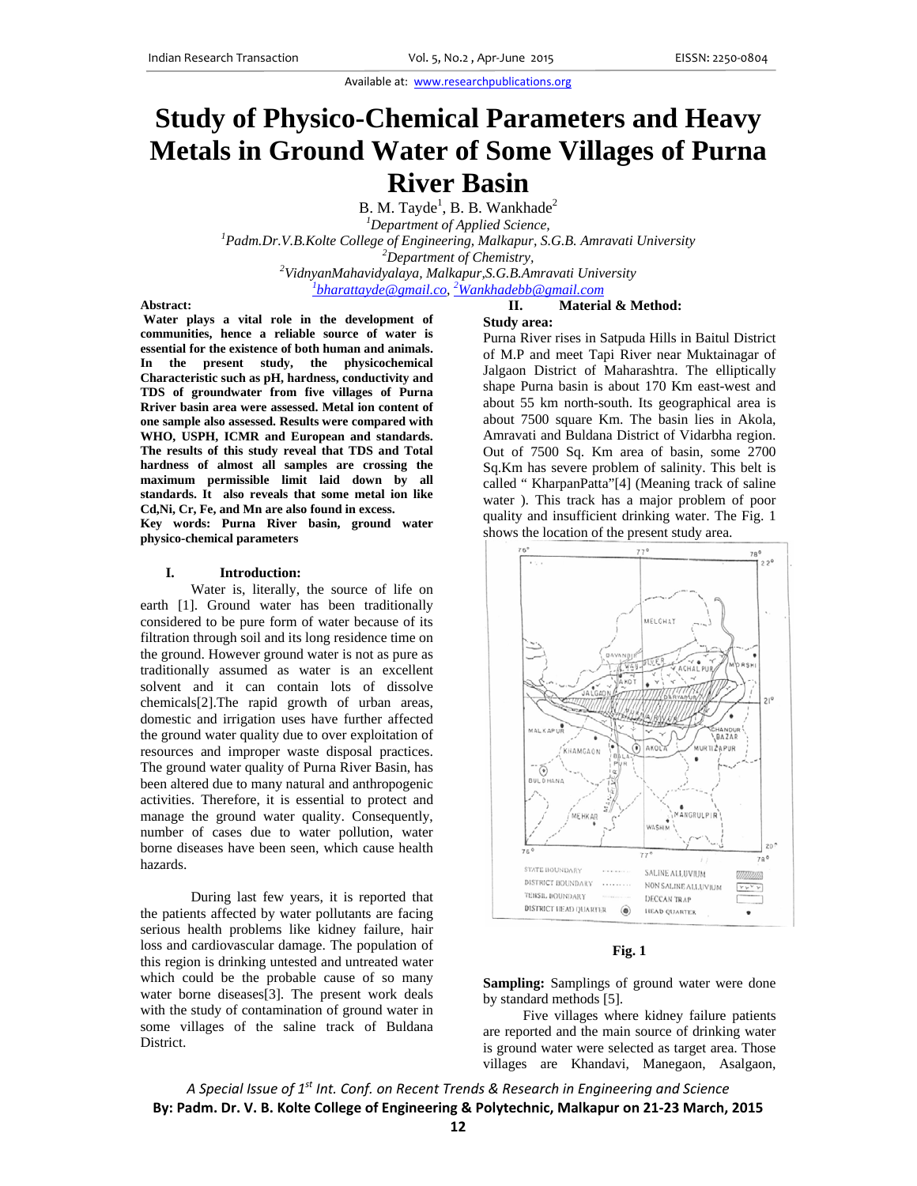Available at: www.researchpublications.org

# **Study of Physico-Chemical Parameters and Heavy Metals in Ground Water of Some Villages of Purna River Basin**

B. M. Tayde<sup>1</sup>, B. B. Wankhade<sup>2</sup>

<sup>1</sup>Department of Applied Science, *Department of Applied Science,*<br><sup>*Department of Applied Science,* <sup>1</sup> Badro Dr. *V. B. Kolta College of Engineering, Malkanur, S.*</sup> *Padm.Dr.V.B.Kolte College of Engineering, Malkapur, S.G.B. Amravati University 2* <sup>2</sup>Department of Chemistry,<sup>2</sup><br><sup>2</sup>VidmanMahavidyalaya, Malkanur S.C. B.An *VidnyanMahavidyalaya, Malkapur,S.G.B.Amravati University 1*

*bharattayde@gmail.co, 2 Wankhadebb@gmail.com*

### **Abstract:**

 **Water plays a vital role in the development of communities, hence a reliable source of water is essential for the existence of both human and animals. In the present study, the physicochemical Characteristic such as pH, hardness, conductivity and TDS of groundwater from five villages of Purna Rriver basin area were assessed. Metal ion content of one sample also assessed. Results were compared with WHO, USPH, ICMR and European and standards. The results of this study reveal that TDS and Total hardness of almost all samples are crossing the maximum permissible limit laid down by all standards. It also reveals that some metal ion like Cd,Ni, Cr, Fe, and Mn are also found in excess.** 

**Key words: Purna River basin, ground water physico-chemical parameters** 

#### **I. Introduction:**

Water is, literally, the source of life on earth [1]. Ground water has been traditionally considered to be pure form of water because of its filtration through soil and its long residence time on the ground. However ground water is not as pure as traditionally assumed as water is an excellent solvent and it can contain lots of dissolve chemicals[2].The rapid growth of urban areas, domestic and irrigation uses have further affected the ground water quality due to over exploitation of resources and improper waste disposal practices. The ground water quality of Purna River Basin, has been altered due to many natural and anthropogenic activities. Therefore, it is essential to protect and manage the ground water quality. Consequently, number of cases due to water pollution, water borne diseases have been seen, which cause health hazards.

During last few years, it is reported that the patients affected by water pollutants are facing serious health problems like kidney failure, hair loss and cardiovascular damage. The population of this region is drinking untested and untreated water which could be the probable cause of so many water borne diseases[3]. The present work deals with the study of contamination of ground water in some villages of the saline track of Buldana District.

# **II. Material & Method:**

**Study area:** 

Purna River rises in Satpuda Hills in Baitul District of M.P and meet Tapi River near Muktainagar of Jalgaon District of Maharashtra. The elliptically shape Purna basin is about 170 Km east-west and about 55 km north-south. Its geographical area is about 7500 square Km. The basin lies in Akola, Amravati and Buldana District of Vidarbha region. Out of 7500 Sq. Km area of basin, some 2700 Sq.Km has severe problem of salinity. This belt is called " KharpanPatta"[4] (Meaning track of saline water ). This track has a major problem of poor quality and insufficient drinking water. The Fig. 1 shows the location of the present study area.





**Sampling:** Samplings of ground water were done by standard methods [5].

Five villages where kidney failure patients are reported and the main source of drinking water is ground water were selected as target area. Those villages are Khandavi, Manegaon, Asalgaon,

*A Special Issue of 1st Int. Conf. on Recent Trends & Research in Engineering and Science* **By: Padm. Dr. V. B. Kolte College of Engineering & Polytechnic, Malkapur on 21‐23 March, 2015**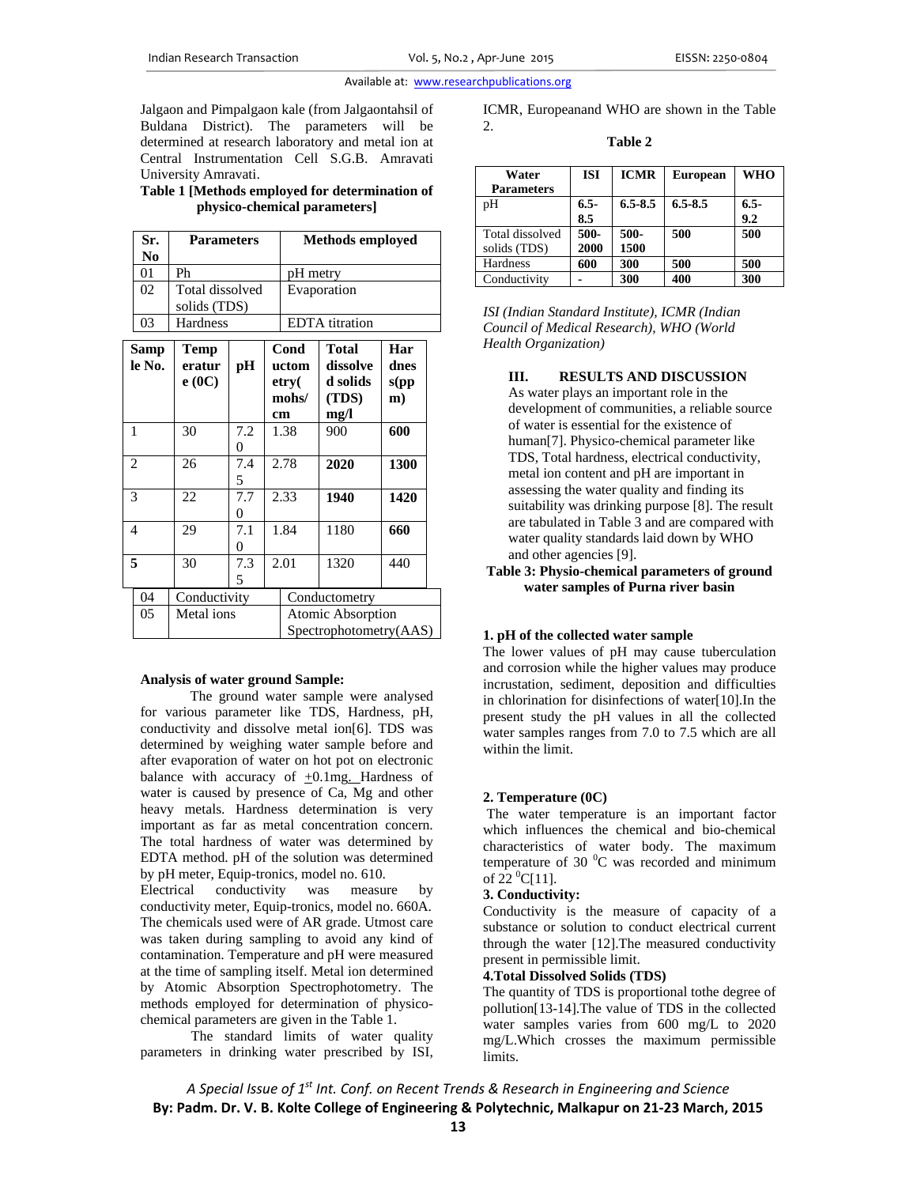#### Available at: www.researchpublications.org

Jalgaon and Pimpalgaon kale (from Jalgaontahsil of Buldana District). The parameters will be determined at research laboratory and metal ion at Central Instrumentation Cell S.G.B. Amravati University Amravati.

#### **Table 1 [Methods employed for determination of physico-chemical parameters]**

|                | Sr.<br>N <sub>0</sub> | <b>Parameters</b>               |          | <b>Methods employed</b>               |                                             |                                                |                            |  |
|----------------|-----------------------|---------------------------------|----------|---------------------------------------|---------------------------------------------|------------------------------------------------|----------------------------|--|
|                | 01                    | Ph                              |          | pH metry                              |                                             |                                                |                            |  |
|                | 02                    | Total dissolved<br>solids (TDS) |          | Evaporation                           |                                             |                                                |                            |  |
|                | 03                    | Hardness                        |          |                                       | <b>EDTA</b> titration                       |                                                |                            |  |
| Samp<br>le No. |                       | Temp<br>eratur<br>e(0C)         | pH       | Cond<br>uctom<br>etry(<br>mohs/<br>cm |                                             | Total<br>dissolve<br>d solids<br>(TDS)<br>mg/l | Har<br>dnes<br>s(pp)<br>m) |  |
| $\mathbf{1}$   |                       | 30                              | 7.2<br>0 |                                       | 1.38                                        | 900                                            | 600                        |  |
| $\overline{2}$ |                       | 26                              | 7.4<br>5 |                                       | 2.78                                        | 2020                                           | 1300                       |  |
| 3              |                       | 22                              | 7.7<br>0 |                                       | 2.33                                        | 1940                                           | 1420                       |  |
| 4              |                       | 29                              | 7.1<br>0 | 1.84                                  |                                             | 1180                                           | 660                        |  |
|                | 5                     | 30                              | 7.3<br>5 | 2.01                                  |                                             | 1320                                           | 440                        |  |
|                | 04                    | Conductivity                    |          |                                       |                                             | Conductometry                                  |                            |  |
|                | 05                    | Metal ions                      |          |                                       | Atomic Absorption<br>Spectrophotometry(AAS) |                                                |                            |  |

#### **Analysis of water ground Sample:**

The ground water sample were analysed for various parameter like TDS, Hardness, pH, conductivity and dissolve metal ion[6]. TDS was determined by weighing water sample before and after evaporation of water on hot pot on electronic balance with accuracy of  $+0.1mg$ . Hardness of water is caused by presence of Ca, Mg and other heavy metals. Hardness determination is very important as far as metal concentration concern. The total hardness of water was determined by EDTA method. pH of the solution was determined by pH meter, Equip-tronics, model no. 610.

Electrical conductivity was measure by conductivity meter, Equip-tronics, model no. 660A. The chemicals used were of AR grade. Utmost care was taken during sampling to avoid any kind of contamination. Temperature and pH were measured at the time of sampling itself. Metal ion determined by Atomic Absorption Spectrophotometry. The methods employed for determination of physicochemical parameters are given in the Table 1.

The standard limits of water quality parameters in drinking water prescribed by ISI, ICMR, Europeanand WHO are shown in the Table 2.

**Table 2** 

| Water<br><b>Parameters</b>      | <b>ISI</b>    | <b>ICMR</b>  | <b>European</b> | WHO           |
|---------------------------------|---------------|--------------|-----------------|---------------|
| pH                              | $6.5-$<br>8.5 | $6.5 - 8.5$  | $6.5 - 8.5$     | $6.5-$<br>9.2 |
| Total dissolved<br>solids (TDS) | 500-<br>2000  | 500-<br>1500 | 500             | 500           |
| Hardness                        | 600           | 300          | 500             | 500           |
| Conductivity                    |               | 300          | 400             | 300           |

*ISI (Indian Standard Institute), ICMR (Indian Council of Medical Research), WHO (World Health Organization)* 

**III. RESULTS AND DISCUSSION**  As water plays an important role in the development of communities, a reliable source of water is essential for the existence of human[7]. Physico-chemical parameter like TDS, Total hardness, electrical conductivity, metal ion content and pH are important in assessing the water quality and finding its suitability was drinking purpose [8]. The result are tabulated in Table 3 and are compared with water quality standards laid down by WHO and other agencies [9].

**Table 3: Physio-chemical parameters of ground water samples of Purna river basin** 

#### **1. pH of the collected water sample**

The lower values of pH may cause tuberculation and corrosion while the higher values may produce incrustation, sediment, deposition and difficulties in chlorination for disinfections of water[10].In the present study the pH values in all the collected water samples ranges from 7.0 to 7.5 which are all within the limit.

### **2. Temperature (0C)**

 The water temperature is an important factor which influences the chemical and bio-chemical characteristics of water body. The maximum temperature of 30 $\mathrm{^{0}C}$  was recorded and minimum of  $22 \text{ }^0C[11]$ .

## **3. Conductivity:**

Conductivity is the measure of capacity of a substance or solution to conduct electrical current through the water [12].The measured conductivity present in permissible limit.

#### **4.Total Dissolved Solids (TDS)**

The quantity of TDS is proportional tothe degree of pollution[13-14].The value of TDS in the collected water samples varies from 600 mg/L to 2020 mg/L.Which crosses the maximum permissible limits.

*A Special Issue of 1st Int. Conf. on Recent Trends & Research in Engineering and Science* **By: Padm. Dr. V. B. Kolte College of Engineering & Polytechnic, Malkapur on 21‐23 March, 2015**